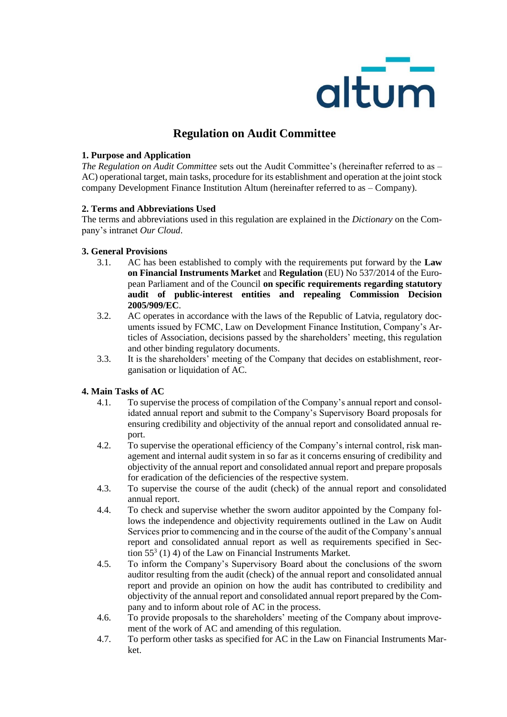

# **Regulation on Audit Committee**

## **1. Purpose and Application**

*The Regulation on Audit Committee* sets out the Audit Committee's (hereinafter referred to as – AC) operational target, main tasks, procedure for its establishment and operation at the joint stock company Development Finance Institution Altum (hereinafter referred to as – Company).

## **2. Terms and Abbreviations Used**

The terms and abbreviations used in this regulation are explained in the *Dictionary* on the Company's intranet *Our Cloud*.

## **3. General Provisions**

- 3.1. AC has been established to comply with the requirements put forward by the **Law on Financial Instruments Market** and **Regulation** (EU) No 537/2014 of the European Parliament and of the Council **on specific requirements regarding statutory audit of public-interest entities and repealing Commission Decision 2005/909/EC**.
- 3.2. AC operates in accordance with the laws of the Republic of Latvia, regulatory documents issued by FCMC, Law on Development Finance Institution, Company's Articles of Association, decisions passed by the shareholders' meeting, this regulation and other binding regulatory documents.
- 3.3. It is the shareholders' meeting of the Company that decides on establishment, reorganisation or liquidation of AC.

## **4. Main Tasks of AC**

- 4.1. To supervise the process of compilation of the Company's annual report and consolidated annual report and submit to the Company's Supervisory Board proposals for ensuring credibility and objectivity of the annual report and consolidated annual report.
- 4.2. To supervise the operational efficiency of the Company's internal control, risk management and internal audit system in so far as it concerns ensuring of credibility and objectivity of the annual report and consolidated annual report and prepare proposals for eradication of the deficiencies of the respective system.
- 4.3. To supervise the course of the audit (check) of the annual report and consolidated annual report.
- 4.4. To check and supervise whether the sworn auditor appointed by the Company follows the independence and objectivity requirements outlined in the Law on Audit Services prior to commencing and in the course of the audit of the Company's annual report and consolidated annual report as well as requirements specified in Section  $55<sup>3</sup>$  (1) 4) of the Law on Financial Instruments Market.
- 4.5. To inform the Company's Supervisory Board about the conclusions of the sworn auditor resulting from the audit (check) of the annual report and consolidated annual report and provide an opinion on how the audit has contributed to credibility and objectivity of the annual report and consolidated annual report prepared by the Company and to inform about role of AC in the process.
- 4.6. To provide proposals to the shareholders' meeting of the Company about improvement of the work of AC and amending of this regulation.
- 4.7. To perform other tasks as specified for AC in the Law on Financial Instruments Market.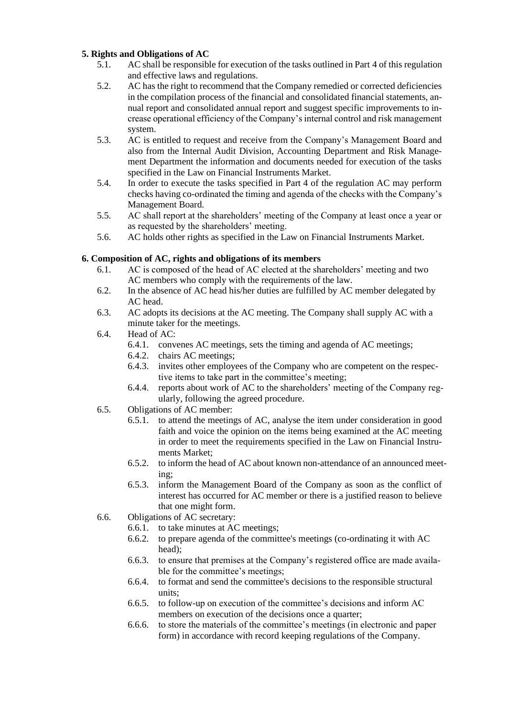## **5. Rights and Obligations of AC**

- 5.1. AC shall be responsible for execution of the tasks outlined in Part 4 of this regulation and effective laws and regulations.
- 5.2. AC has the right to recommend that the Company remedied or corrected deficiencies in the compilation process of the financial and consolidated financial statements, annual report and consolidated annual report and suggest specific improvements to increase operational efficiency of the Company's internal control and risk management system.
- 5.3. AC is entitled to request and receive from the Company's Management Board and also from the Internal Audit Division, Accounting Department and Risk Management Department the information and documents needed for execution of the tasks specified in the Law on Financial Instruments Market.
- 5.4. In order to execute the tasks specified in Part 4 of the regulation AC may perform checks having co-ordinated the timing and agenda of the checks with the Company's Management Board.
- 5.5. AC shall report at the shareholders' meeting of the Company at least once a year or as requested by the shareholders' meeting.
- 5.6. AC holds other rights as specified in the Law on Financial Instruments Market.

## **6. Composition of AC, rights and obligations of its members**

- 6.1. AC is composed of the head of AC elected at the shareholders' meeting and two AC members who comply with the requirements of the law.
- 6.2. In the absence of AC head his/her duties are fulfilled by AC member delegated by AC head.
- 6.3. AC adopts its decisions at the AC meeting. The Company shall supply AC with a minute taker for the meetings.
- 6.4. Head of AC:
	- 6.4.1. convenes AC meetings, sets the timing and agenda of AC meetings;
	- 6.4.2. chairs AC meetings;
	- 6.4.3. invites other employees of the Company who are competent on the respective items to take part in the committee's meeting;
	- 6.4.4. reports about work of AC to the shareholders' meeting of the Company regularly, following the agreed procedure.
- 6.5. Obligations of AC member:
	- 6.5.1. to attend the meetings of AC, analyse the item under consideration in good faith and voice the opinion on the items being examined at the AC meeting in order to meet the requirements specified in the Law on Financial Instruments Market;
	- 6.5.2. to inform the head of AC about known non-attendance of an announced meeting;
	- 6.5.3. inform the Management Board of the Company as soon as the conflict of interest has occurred for AC member or there is a justified reason to believe that one might form.
- 6.6. Obligations of AC secretary:
	- 6.6.1. to take minutes at AC meetings;
	- 6.6.2. to prepare agenda of the committee's meetings (co-ordinating it with AC head);
	- 6.6.3. to ensure that premises at the Company's registered office are made available for the committee's meetings;
	- 6.6.4. to format and send the committee's decisions to the responsible structural units;
	- 6.6.5. to follow-up on execution of the committee's decisions and inform AC members on execution of the decisions once a quarter;
	- 6.6.6. to store the materials of the committee's meetings (in electronic and paper form) in accordance with record keeping regulations of the Company.